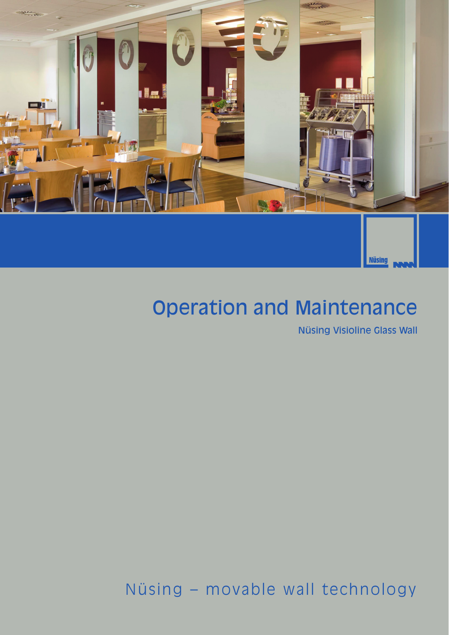

# Operation and Maintenance

Nüsing Visioline Glass Wall

Nüsing – movable wall technology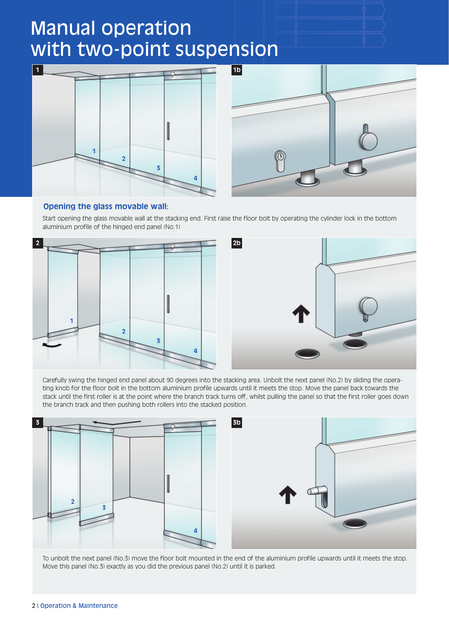# Manual operation with two-point suspension





## **Opening the glass movable wall:**

Start opening the glass movable wall at the stacking end. First raise the floor bolt by operating the cylinder lock in the bottom aluminium profile of the hinged end panel (No.1)



Carefully swing the hinged end panel about 90 degrees into the stacking area. Unbolt the next panel (No.2) by sliding the operating knob for the floor bolt in the bottom aluminium profile upwards until it meets the stop. Move the panel back towards the stack until the first roller is at the point where the branch track turns off, whilst pulling the panel so that the first roller goes down the branch track and then pushing both rollers into the stacked position.



To unbolt the next panel (No.3) move the floor bolt mounted in the end of the aluminium profile upwards until it meets the stop. Move this panel (No.3) exactly as you did the previous panel (No.2) until it is parked.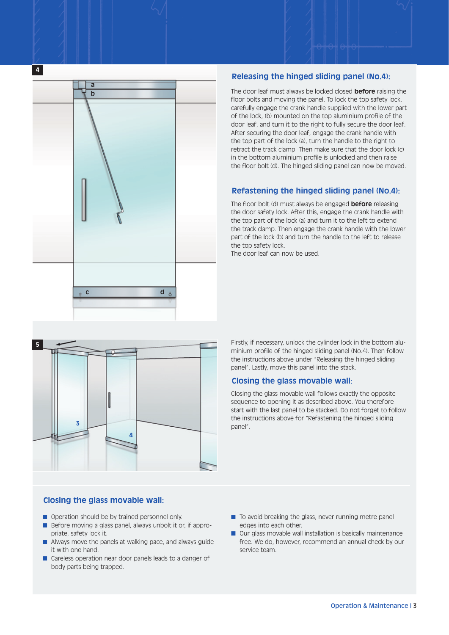

## **Releasing the hinged sliding panel (No.4):**

The door leaf must always be locked closed **before** raising the floor bolts and moving the panel. To lock the top safety lock, carefully engage the crank handle supplied with the lower part of the lock, (b) mounted on the top aluminium profile of the door leaf, and turn it to the right to fully secure the door leaf. After securing the door leaf, engage the crank handle with the top part of the lock (a), turn the handle to the right to retract the track clamp. Then make sure that the door lock (c) in the bottom aluminium profile is unlocked and then raise the floor bolt (d). The hinged sliding panel can now be moved.

## **Refastening the hinged sliding panel (No.4):**

The floor bolt (d) must always be engaged **before** releasing the door safety lock. After this, engage the crank handle with the top part of the lock (a) and turn it to the left to extend the track clamp. Then engage the crank handle with the lower part of the lock (b) and turn the handle to the left to release the top safety lock.

The door leaf can now be used.



Firstly, if necessary, unlock the cylinder lock in the bottom aluminium profile of the hinged sliding panel (No.4). Then follow the instructions above under "Releasing the hinged sliding panel". Lastly, move this panel into the stack.

### **Closing the glass movable wall:**

Closing the glass movable wall follows exactly the opposite sequence to opening it as described above. You therefore start with the last panel to be stacked. Do not forget to follow the instructions above for "Refastening the hinged sliding panel".

## **Closing the glass movable wall:**

- Operation should be by trained personnel only.
- Before moving a glass panel, always unbolt it or, if appropriate, safety lock it.
- Always move the panels at walking pace, and always guide it with one hand.
- Careless operation near door panels leads to a danger of body parts being trapped.
- To avoid breaking the glass, never running metre panel edges into each other.
- Our glass movable wall installation is basically maintenance free. We do, however, recommend an annual check by our service team.